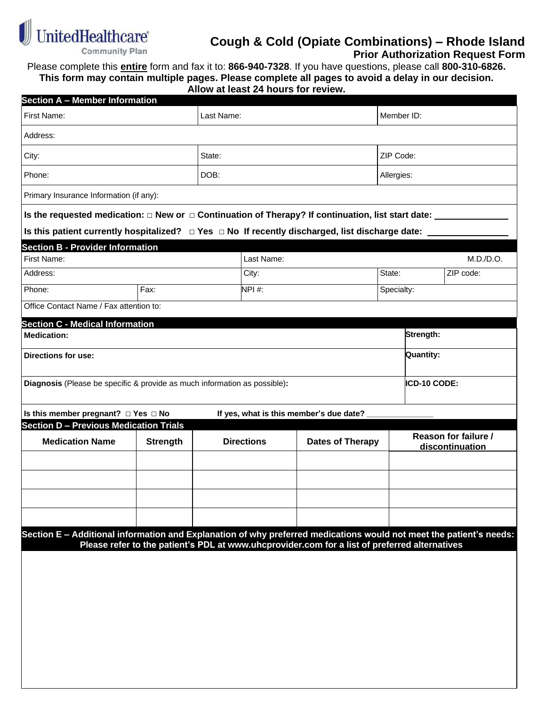

## **Cough & Cold (Opiate Combinations) – Rhode Island**

 **Prior Authorization Request Form**

Please complete this **entire** form and fax it to: **866-940-7328**. If you have questions, please call **800-310-6826. This form may contain multiple pages. Please complete all pages to avoid a delay in our decision.**

**Allow at least 24 hours for review.**

| <b>Section A - Member Information</b>                                                                               |                 |      |                   |                                                                                               |            |                     |                 |  |  |
|---------------------------------------------------------------------------------------------------------------------|-----------------|------|-------------------|-----------------------------------------------------------------------------------------------|------------|---------------------|-----------------|--|--|
| First Name:                                                                                                         | Last Name:      |      |                   |                                                                                               | Member ID: |                     |                 |  |  |
| Address:                                                                                                            |                 |      |                   |                                                                                               |            |                     |                 |  |  |
| State:<br>City:                                                                                                     |                 |      |                   |                                                                                               |            | ZIP Code:           |                 |  |  |
| Phone:                                                                                                              |                 | DOB: |                   |                                                                                               |            | Allergies:          |                 |  |  |
| Primary Insurance Information (if any):                                                                             |                 |      |                   |                                                                                               |            |                     |                 |  |  |
| Is the requested medication: $\Box$ New or $\Box$ Continuation of Therapy? If continuation, list start date: $\Box$ |                 |      |                   |                                                                                               |            |                     |                 |  |  |
| Is this patient currently hospitalized? $\Box$ Yes $\Box$ No If recently discharged, list discharge date: $\Box$    |                 |      |                   |                                                                                               |            |                     |                 |  |  |
| <b>Section B - Provider Information</b>                                                                             |                 |      |                   |                                                                                               |            |                     |                 |  |  |
| First Name:                                                                                                         | Last Name:      |      |                   |                                                                                               | M.D./D.O.  |                     |                 |  |  |
| Address:                                                                                                            |                 |      | City:             |                                                                                               |            | ZIP code:<br>State: |                 |  |  |
| Phone:                                                                                                              | Fax:            |      |                   | NPI#:                                                                                         |            |                     | Specialty:      |  |  |
| Office Contact Name / Fax attention to:                                                                             |                 |      |                   |                                                                                               |            |                     |                 |  |  |
| <b>Section C - Medical Information</b>                                                                              |                 |      |                   |                                                                                               |            |                     |                 |  |  |
| <b>Medication:</b>                                                                                                  |                 |      |                   |                                                                                               |            | Strength:           |                 |  |  |
| <b>Directions for use:</b>                                                                                          |                 |      |                   |                                                                                               |            | <b>Quantity:</b>    |                 |  |  |
| Diagnosis (Please be specific & provide as much information as possible):                                           |                 |      |                   |                                                                                               |            | ICD-10 CODE:        |                 |  |  |
|                                                                                                                     |                 |      |                   |                                                                                               |            |                     |                 |  |  |
| Is this member pregnant? $\Box$ Yes $\Box$ No                                                                       |                 |      |                   | If yes, what is this member's due date?                                                       |            |                     |                 |  |  |
| <b>Section D - Previous Medication Trials</b>                                                                       |                 |      |                   | Reason for failure /                                                                          |            |                     |                 |  |  |
| <b>Medication Name</b>                                                                                              | <b>Strength</b> |      | <b>Directions</b> | <b>Dates of Therapy</b>                                                                       |            |                     | discontinuation |  |  |
|                                                                                                                     |                 |      |                   |                                                                                               |            |                     |                 |  |  |
|                                                                                                                     |                 |      |                   |                                                                                               |            |                     |                 |  |  |
|                                                                                                                     |                 |      |                   |                                                                                               |            |                     |                 |  |  |
|                                                                                                                     |                 |      |                   |                                                                                               |            |                     |                 |  |  |
|                                                                                                                     |                 |      |                   |                                                                                               |            |                     |                 |  |  |
|                                                                                                                     |                 |      |                   |                                                                                               |            |                     |                 |  |  |
| Section E - Additional information and Explanation of why preferred medications would not meet the patient's needs: |                 |      |                   | Please refer to the patient's PDL at www.uhcprovider.com for a list of preferred alternatives |            |                     |                 |  |  |
|                                                                                                                     |                 |      |                   |                                                                                               |            |                     |                 |  |  |
|                                                                                                                     |                 |      |                   |                                                                                               |            |                     |                 |  |  |
|                                                                                                                     |                 |      |                   |                                                                                               |            |                     |                 |  |  |
|                                                                                                                     |                 |      |                   |                                                                                               |            |                     |                 |  |  |
|                                                                                                                     |                 |      |                   |                                                                                               |            |                     |                 |  |  |
|                                                                                                                     |                 |      |                   |                                                                                               |            |                     |                 |  |  |
|                                                                                                                     |                 |      |                   |                                                                                               |            |                     |                 |  |  |
|                                                                                                                     |                 |      |                   |                                                                                               |            |                     |                 |  |  |
|                                                                                                                     |                 |      |                   |                                                                                               |            |                     |                 |  |  |
|                                                                                                                     |                 |      |                   |                                                                                               |            |                     |                 |  |  |